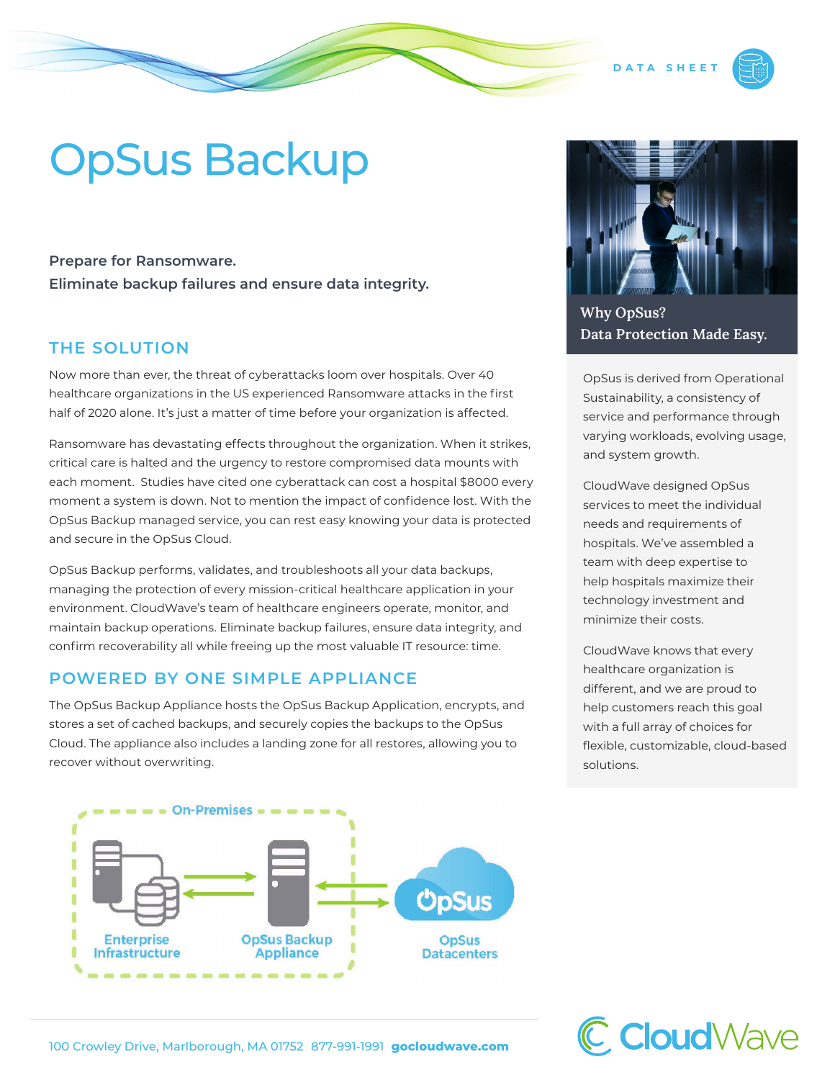# OpSus Backup

**Prepare for Ransomware. Eliminate backup failures and ensure data integrity.**

#### **THE SOLUTION**

Now more than ever, the threat of cyberattacks loom over hospitals. Over 40 healthcare organizations in the US experienced Ransomware attacks in the first half of 2020 alone. It's just a matter of time before your organization is affected.

Ransomware has devastating effects throughout the organization. When it strikes, critical care is halted and the urgency to restore compromised data mounts with each moment. Studies have cited one cyberattack can cost a hospital \$8000 every moment a system is down. Not to mention the impact of confidence lost. With the OpSus Backup managed service, you can rest easy knowing your data is protected and secure in the OpSus Cloud.

OpSus Backup performs, validates, and troubleshoots all your data backups, managing the protection of every mission-critical healthcare application in your environment. CloudWave's team of healthcare engineers operate, monitor, and maintain backup operations. Eliminate backup failures, ensure data integrity, and confirm recoverability all while freeing up the most valuable IT resource: time.

#### **POWERED BY ONE SIMPLE APPLIANCE**

The OpSus Backup Appliance hosts the OpSus Backup Application, encrypts, and stores a set of cached backups, and securely copies the backups to the OpSus Cloud. The appliance also includes a landing zone for all restores, allowing you to recover without overwriting.





**DATA SHEE** 

**Why OpSus? Data Protection Made Easy.**

OpSus is derived from Operational Sustainability, a consistency of service and performance through varying workloads, evolving usage, and system growth.

CloudWave designed OpSus services to meet the individual needs and requirements of hospitals. We've assembled a team with deep expertise to help hospitals maximize their technology investment and minimize their costs.

CloudWave knows that every healthcare organization is different, and we are proud to help customers reach this goal with a full array of choices for flexible, customizable, cloud-based solutions.